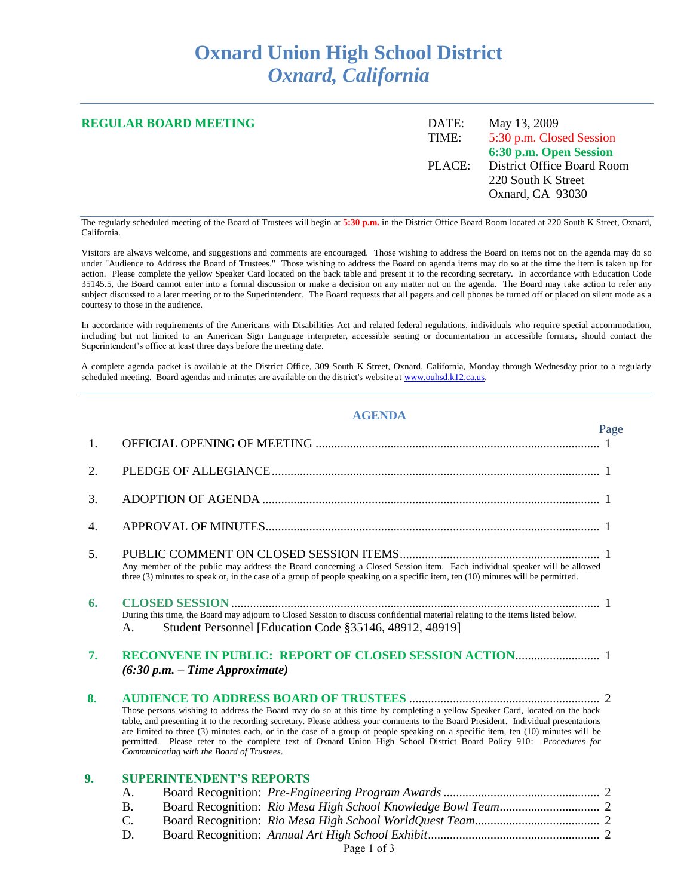## **Oxnard Union High School District** *Oxnard, California*

| <b>REGULAR BOARD MEETING</b> | DATE:<br>TIME: | May 13, 2009<br>5:30 p.m. Closed Session                                                              |  |
|------------------------------|----------------|-------------------------------------------------------------------------------------------------------|--|
|                              | PLACE:         | 6:30 p.m. Open Session<br><b>District Office Board Room</b><br>220 South K Street<br>Oxnard, CA 93030 |  |
|                              |                |                                                                                                       |  |

The regularly scheduled meeting of the Board of Trustees will begin at **5:30 p.m.** in the District Office Board Room located at 220 South K Street, Oxnard, California.

Visitors are always welcome, and suggestions and comments are encouraged. Those wishing to address the Board on items not on the agenda may do so under "Audience to Address the Board of Trustees." Those wishing to address the Board on agenda items may do so at the time the item is taken up for action. Please complete the yellow Speaker Card located on the back table and present it to the recording secretary. In accordance with Education Code 35145.5, the Board cannot enter into a formal discussion or make a decision on any matter not on the agenda. The Board may take action to refer any subject discussed to a later meeting or to the Superintendent. The Board requests that all pagers and cell phones be turned off or placed on silent mode as a courtesy to those in the audience.

In accordance with requirements of the Americans with Disabilities Act and related federal regulations, individuals who require special accommodation, including but not limited to an American Sign Language interpreter, accessible seating or documentation in accessible formats, should contact the Superintendent's office at least three days before the meeting date.

A complete agenda packet is available at the District Office, 309 South K Street, Oxnard, California, Monday through Wednesday prior to a regularly scheduled meeting. Board agendas and minutes are available on the district's website at [www.ouhsd.k12.ca.us.](http://www.ouhsd.k12.ca.us/)

## **AGENDA**

|    |                                                                                                                                                                                                                                                                                                                                                                                                                                                                                                                                                                         | Page |
|----|-------------------------------------------------------------------------------------------------------------------------------------------------------------------------------------------------------------------------------------------------------------------------------------------------------------------------------------------------------------------------------------------------------------------------------------------------------------------------------------------------------------------------------------------------------------------------|------|
| 1. |                                                                                                                                                                                                                                                                                                                                                                                                                                                                                                                                                                         |      |
| 2. |                                                                                                                                                                                                                                                                                                                                                                                                                                                                                                                                                                         |      |
| 3. |                                                                                                                                                                                                                                                                                                                                                                                                                                                                                                                                                                         |      |
| 4. |                                                                                                                                                                                                                                                                                                                                                                                                                                                                                                                                                                         |      |
| 5. | Any member of the public may address the Board concerning a Closed Session item. Each individual speaker will be allowed<br>three $(3)$ minutes to speak or, in the case of a group of people speaking on a specific item, ten $(10)$ minutes will be permitted.                                                                                                                                                                                                                                                                                                        |      |
| 6. | During this time, the Board may adjourn to Closed Session to discuss confidential material relating to the items listed below.<br>Student Personnel [Education Code §35146, 48912, 48919]<br>А.                                                                                                                                                                                                                                                                                                                                                                         |      |
| 7. | $(6:30 p.m. - Time Approximate)$                                                                                                                                                                                                                                                                                                                                                                                                                                                                                                                                        |      |
| 8. | Those persons wishing to address the Board may do so at this time by completing a yellow Speaker Card, located on the back<br>table, and presenting it to the recording secretary. Please address your comments to the Board President. Individual presentations<br>are limited to three (3) minutes each, or in the case of a group of people speaking on a specific item, ten (10) minutes will be<br>permitted. Please refer to the complete text of Oxnard Union High School District Board Policy 910: Procedures for<br>Communicating with the Board of Trustees. |      |
| 9. | <b>SUPERINTENDENT'S REPORTS</b>                                                                                                                                                                                                                                                                                                                                                                                                                                                                                                                                         |      |
|    | A.                                                                                                                                                                                                                                                                                                                                                                                                                                                                                                                                                                      |      |
|    | <b>B.</b>                                                                                                                                                                                                                                                                                                                                                                                                                                                                                                                                                               |      |
|    | C.                                                                                                                                                                                                                                                                                                                                                                                                                                                                                                                                                                      |      |
|    | D.                                                                                                                                                                                                                                                                                                                                                                                                                                                                                                                                                                      |      |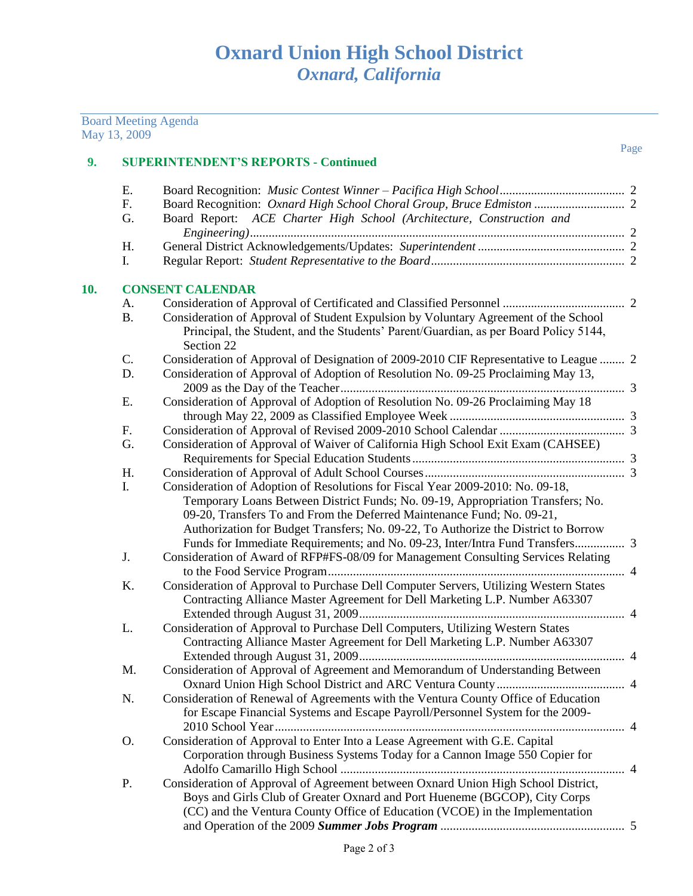|     | May 13, 2009 | <b>Board Meeting Agenda</b>                                                                        |      |
|-----|--------------|----------------------------------------------------------------------------------------------------|------|
| 9.  |              | <b>SUPERINTENDENT'S REPORTS - Continued</b>                                                        | Page |
|     |              |                                                                                                    |      |
|     | Ε.           |                                                                                                    |      |
|     | F.           |                                                                                                    |      |
|     | G.           | Board Report: ACE Charter High School (Architecture, Construction and                              |      |
|     |              |                                                                                                    |      |
|     | H.           |                                                                                                    |      |
|     | I.           |                                                                                                    |      |
| 10. |              | <b>CONSENT CALENDAR</b>                                                                            |      |
|     | А.           |                                                                                                    |      |
|     | <b>B.</b>    | Consideration of Approval of Student Expulsion by Voluntary Agreement of the School                |      |
|     |              | Principal, the Student, and the Students' Parent/Guardian, as per Board Policy 5144,<br>Section 22 |      |
|     | C.           | Consideration of Approval of Designation of 2009-2010 CIF Representative to League  2              |      |
|     | D.           | Consideration of Approval of Adoption of Resolution No. 09-25 Proclaiming May 13,                  |      |
|     |              |                                                                                                    |      |
|     | Ε.           | Consideration of Approval of Adoption of Resolution No. 09-26 Proclaiming May 18                   |      |
|     |              |                                                                                                    |      |
|     | F.<br>G.     | Consideration of Approval of Waiver of California High School Exit Exam (CAHSEE)                   |      |
|     |              |                                                                                                    |      |
|     | H.           |                                                                                                    |      |
|     | I.           | Consideration of Adoption of Resolutions for Fiscal Year 2009-2010: No. 09-18,                     |      |
|     |              | Temporary Loans Between District Funds; No. 09-19, Appropriation Transfers; No.                    |      |
|     |              | 09-20, Transfers To and From the Deferred Maintenance Fund; No. 09-21,                             |      |
|     |              | Authorization for Budget Transfers; No. 09-22, To Authorize the District to Borrow                 |      |
|     |              |                                                                                                    |      |
|     | J.           | Consideration of Award of RFP#FS-08/09 for Management Consulting Services Relating                 |      |
|     |              |                                                                                                    |      |
|     | K.           | Consideration of Approval to Purchase Dell Computer Servers, Utilizing Western States              |      |
|     |              | Contracting Alliance Master Agreement for Dell Marketing L.P. Number A63307                        |      |
|     | L.           | Consideration of Approval to Purchase Dell Computers, Utilizing Western States                     |      |
|     |              | Contracting Alliance Master Agreement for Dell Marketing L.P. Number A63307                        |      |
|     |              |                                                                                                    |      |
|     | M.           | Consideration of Approval of Agreement and Memorandum of Understanding Between                     |      |
|     |              |                                                                                                    |      |
|     | N.           | Consideration of Renewal of Agreements with the Ventura County Office of Education                 |      |
|     |              | for Escape Financial Systems and Escape Payroll/Personnel System for the 2009-                     |      |
|     |              |                                                                                                    |      |
|     | O.           | Consideration of Approval to Enter Into a Lease Agreement with G.E. Capital                        |      |
|     |              | Corporation through Business Systems Today for a Cannon Image 550 Copier for                       |      |
|     |              |                                                                                                    |      |
|     | P.           | Consideration of Approval of Agreement between Oxnard Union High School District,                  |      |
|     |              | Boys and Girls Club of Greater Oxnard and Port Hueneme (BGCOP), City Corps                         |      |
|     |              | (CC) and the Ventura County Office of Education (VCOE) in the Implementation                       |      |
|     |              |                                                                                                    |      |